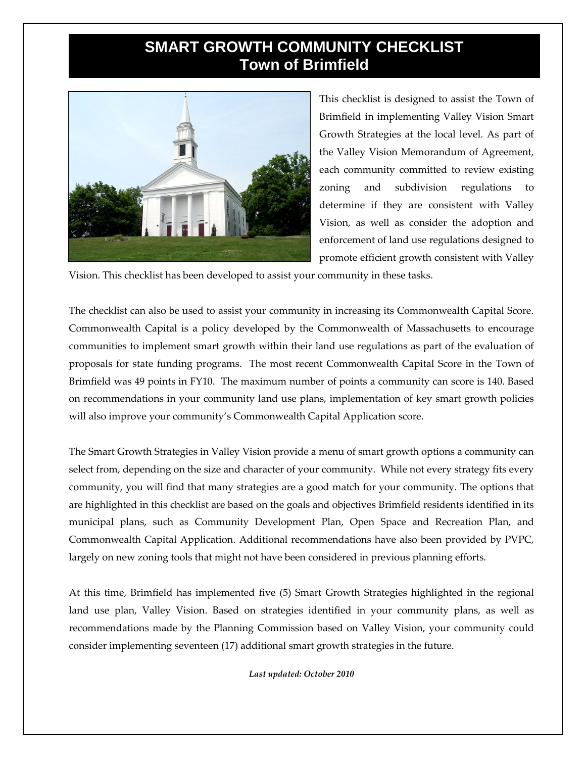## **SMART GROWTH COMMUNITY CHECKLIST Town of Brimfield**



This checklist is designed to assist the Town of Brimfield in implementing Valley Vision Smart Growth Strategies at the local level. As part of the Valley Vision Memorandum of Agreement, each community committed to review existing zoning and subdivision regulations to determine if they are consistent with Valley Vision, as well as consider the adoption and enforcement of land use regulations designed to promote efficient growth consistent with Valley

Vision. This checklist has been developed to assist your community in these tasks.

The checklist can also be used to assist your community in increasing its Commonwealth Capital Score. Commonwealth Capital is a policy developed by the Commonwealth of Massachusetts to encourage communities to implement smart growth within their land use regulations as part of the evaluation of proposals for state funding programs. The most recent Commonwealth Capital Score in the Town of Brimfield was 49 points in FY10. The maximum number of points a community can score is 140. Based on recommendations in your community land use plans, implementation of key smart growth policies will also improve your community's Commonwealth Capital Application score.

The Smart Growth Strategies in Valley Vision provide a menu of smart growth options a community can select from, depending on the size and character of your community. While not every strategy fits every community, you will find that many strategies are a good match for your community. The options that are highlighted in this checklist are based on the goals and objectives Brimfield residents identified in its municipal plans, such as Community Development Plan, Open Space and Recreation Plan, and Commonwealth Capital Application. Additional recommendations have also been provided by PVPC, largely on new zoning tools that might not have been considered in previous planning efforts.

At this time, Brimfield has implemented five (5) Smart Growth Strategies highlighted in the regional land use plan, Valley Vision. Based on strategies identified in your community plans, as well as recommendations made by the Planning Commission based on Valley Vision, your community could consider implementing seventeen (17) additional smart growth strategies in the future.

*Last updated: October 2010*